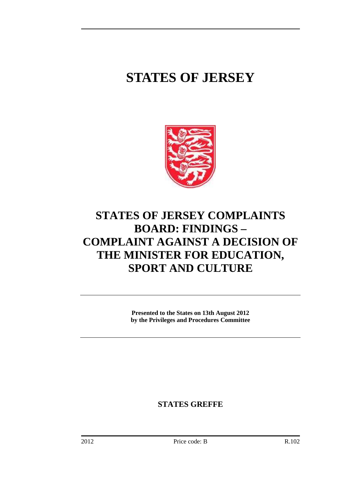# **STATES OF JERSEY**



# **STATES OF JERSEY COMPLAINTS BOARD: FINDINGS – COMPLAINT AGAINST A DECISION OF THE MINISTER FOR EDUCATION, SPORT AND CULTURE**

**Presented to the States on 13th August 2012 by the Privileges and Procedures Committee** 

**STATES GREFFE**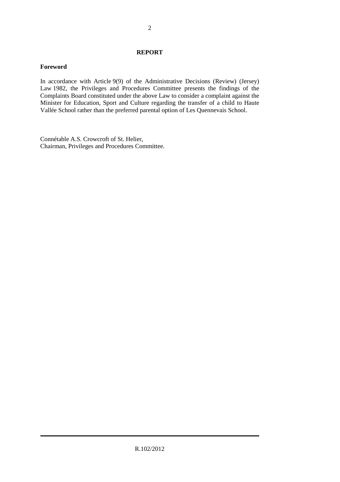#### **REPORT**

### **Foreword**

In accordance with Article 9(9) of the Administrative Decisions (Review) (Jersey) Law 1982, the Privileges and Procedures Committee presents the findings of the Complaints Board constituted under the above Law to consider a complaint against the Minister for Education, Sport and Culture regarding the transfer of a child to Haute Vallée School rather than the preferred parental option of Les Quennevais School.

Connétable A.S. Crowcroft of St. Helier, Chairman, Privileges and Procedures Committee.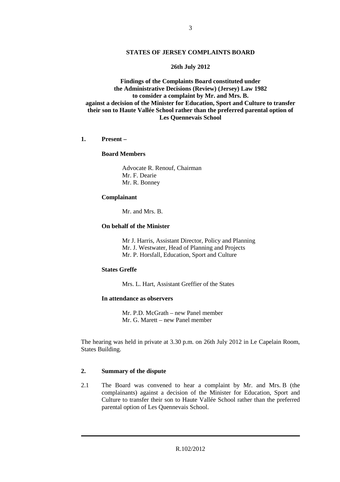#### **STATES OF JERSEY COMPLAINTS BOARD**

#### **26th July 2012**

**Findings of the Complaints Board constituted under the Administrative Decisions (Review) (Jersey) Law 1982 to consider a complaint by Mr. and Mrs. B. against a decision of the Minister for Education, Sport and Culture to transfer their son to Haute Vallée School rather than the preferred parental option of Les Quennevais School** 

#### **1. Present –**

#### **Board Members**

 Advocate R. Renouf, Chairman Mr. F. Dearie Mr. R. Bonney

#### **Complainant**

Mr. and Mrs. B.

#### **On behalf of the Minister**

 Mr J. Harris, Assistant Director, Policy and Planning Mr. J. Westwater, Head of Planning and Projects Mr. P. Horsfall, Education, Sport and Culture

#### **States Greffe**

Mrs. L. Hart, Assistant Greffier of the States

#### **In attendance as observers**

 Mr. P.D. McGrath – new Panel member Mr. G. Marett – new Panel member

The hearing was held in private at 3.30 p.m. on 26th July 2012 in Le Capelain Room, States Building.

#### **2. Summary of the dispute**

2.1 The Board was convened to hear a complaint by Mr. and Mrs. B (the complainants) against a decision of the Minister for Education, Sport and Culture to transfer their son to Haute Vallée School rather than the preferred parental option of Les Quennevais School.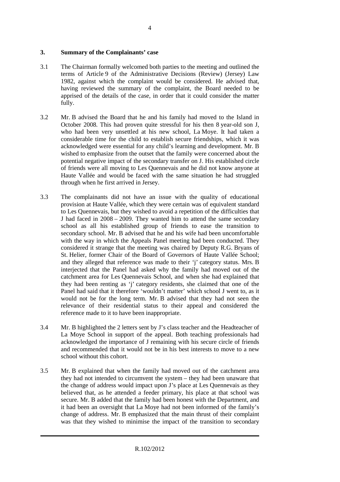#### **3. Summary of the Complainants' case**

- 3.1 The Chairman formally welcomed both parties to the meeting and outlined the terms of Article 9 of the Administrative Decisions (Review) (Jersey) Law 1982, against which the complaint would be considered. He advised that, having reviewed the summary of the complaint, the Board needed to be apprised of the details of the case, in order that it could consider the matter fully.
- 3.2 Mr. B advised the Board that he and his family had moved to the Island in October 2008. This had proven quite stressful for his then 8 year-old son J, who had been very unsettled at his new school, La Moye. It had taken a considerable time for the child to establish secure friendships, which it was acknowledged were essential for any child's learning and development. Mr. B wished to emphasize from the outset that the family were concerned about the potential negative impact of the secondary transfer on J. His established circle of friends were all moving to Les Quennevais and he did not know anyone at Haute Vallée and would be faced with the same situation he had struggled through when he first arrived in Jersey.
- 3.3 The complainants did not have an issue with the quality of educational provision at Haute Vallée, which they were certain was of equivalent standard to Les Quennevais, but they wished to avoid a repetition of the difficulties that J had faced in 2008 – 2009. They wanted him to attend the same secondary school as all his established group of friends to ease the transition to secondary school. Mr. B advised that he and his wife had been uncomfortable with the way in which the Appeals Panel meeting had been conducted. They considered it strange that the meeting was chaired by Deputy R.G. Bryans of St. Helier, former Chair of the Board of Governors of Haute Vallée School; and they alleged that reference was made to their 'j' category status. Mrs. B interjected that the Panel had asked why the family had moved out of the catchment area for Les Quennevais School, and when she had explained that they had been renting as 'j' category residents, she claimed that one of the Panel had said that it therefore 'wouldn't matter' which school J went to, as it would not be for the long term. Mr. B advised that they had not seen the relevance of their residential status to their appeal and considered the reference made to it to have been inappropriate.
- 3.4 Mr. B highlighted the 2 letters sent by J's class teacher and the Headteacher of La Moye School in support of the appeal. Both teaching professionals had acknowledged the importance of J remaining with his secure circle of friends and recommended that it would not be in his best interests to move to a new school without this cohort.
- 3.5 Mr. B explained that when the family had moved out of the catchment area they had not intended to circumvent the system – they had been unaware that the change of address would impact upon J's place at Les Quennevais as they believed that, as he attended a feeder primary, his place at that school was secure. Mr. B added that the family had been honest with the Department, and it had been an oversight that La Moye had not been informed of the family's change of address. Mr. B emphasized that the main thrust of their complaint was that they wished to minimise the impact of the transition to secondary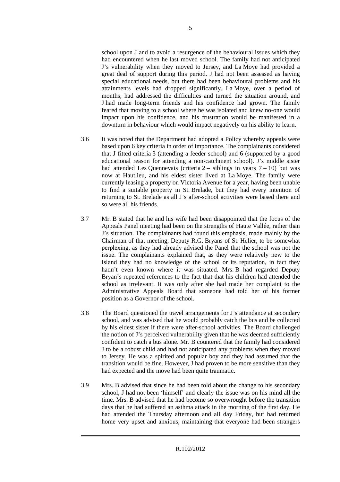school upon J and to avoid a resurgence of the behavioural issues which they had encountered when he last moved school. The family had not anticipated J's vulnerability when they moved to Jersey, and La Moye had provided a great deal of support during this period. J had not been assessed as having special educational needs, but there had been behavioural problems and his attainments levels had dropped significantly. La Moye, over a period of months, had addressed the difficulties and turned the situation around, and J had made long-term friends and his confidence had grown. The family feared that moving to a school where he was isolated and knew no-one would impact upon his confidence, and his frustration would be manifested in a downturn in behaviour which would impact negatively on his ability to learn.

- 3.6 It was noted that the Department had adopted a Policy whereby appeals were based upon 6 key criteria in order of importance. The complainants considered that J fitted criteria 3 (attending a feeder school) and 6 (supported by a good educational reason for attending a non-catchment school). J's middle sister had attended Les Quennevais (criteria  $2 -$  siblings in years  $7 - 10$ ) but was now at Hautlieu, and his eldest sister lived at La Moye. The family were currently leasing a property on Victoria Avenue for a year, having been unable to find a suitable property in St. Brelade, but they had every intention of returning to St. Brelade as all J's after-school activities were based there and so were all his friends.
- 3.7 Mr. B stated that he and his wife had been disappointed that the focus of the Appeals Panel meeting had been on the strengths of Haute Vallée, rather than J's situation. The complainants had found this emphasis, made mainly by the Chairman of that meeting, Deputy R.G. Bryans of St. Helier, to be somewhat perplexing, as they had already advised the Panel that the school was not the issue. The complainants explained that, as they were relatively new to the Island they had no knowledge of the school or its reputation, in fact they hadn't even known where it was situated. Mrs. B had regarded Deputy Bryan's repeated references to the fact that that his children had attended the school as irrelevant. It was only after she had made her complaint to the Administrative Appeals Board that someone had told her of his former position as a Governor of the school.
- 3.8 The Board questioned the travel arrangements for J's attendance at secondary school, and was advised that he would probably catch the bus and be collected by his eldest sister if there were after-school activities. The Board challenged the notion of J's perceived vulnerability given that he was deemed sufficiently confident to catch a bus alone. Mr. B countered that the family had considered J to be a robust child and had not anticipated any problems when they moved to Jersey. He was a spirited and popular boy and they had assumed that the transition would be fine. However, J had proven to be more sensitive than they had expected and the move had been quite traumatic.
- 3.9 Mrs. B advised that since he had been told about the change to his secondary school, J had not been 'himself' and clearly the issue was on his mind all the time. Mrs. B advised that he had become so overwrought before the transition days that he had suffered an asthma attack in the morning of the first day. He had attended the Thursday afternoon and all day Friday, but had returned home very upset and anxious, maintaining that everyone had been strangers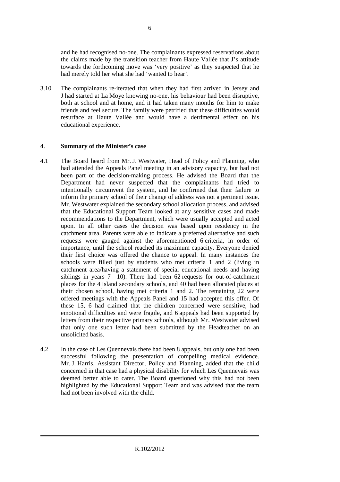and he had recognised no-one. The complainants expressed reservations about the claims made by the transition teacher from Haute Vallée that J's attitude towards the forthcoming move was 'very positive' as they suspected that he had merely told her what she had 'wanted to hear'.

3.10 The complainants re-iterated that when they had first arrived in Jersey and J had started at La Moye knowing no-one, his behaviour had been disruptive, both at school and at home, and it had taken many months for him to make friends and feel secure. The family were petrified that these difficulties would resurface at Haute Vallée and would have a detrimental effect on his educational experience.

# 4. **Summary of the Minister's case**

- 4.1 The Board heard from Mr. J. Westwater, Head of Policy and Planning, who had attended the Appeals Panel meeting in an advisory capacity, but had not been part of the decision-making process. He advised the Board that the Department had never suspected that the complainants had tried to intentionally circumvent the system, and he confirmed that their failure to inform the primary school of their change of address was not a pertinent issue. Mr. Westwater explained the secondary school allocation process, and advised that the Educational Support Team looked at any sensitive cases and made recommendations to the Department, which were usually accepted and acted upon. In all other cases the decision was based upon residency in the catchment area. Parents were able to indicate a preferred alternative and such requests were gauged against the aforementioned 6 criteria, in order of importance, until the school reached its maximum capacity. Everyone denied their first choice was offered the chance to appeal. In many instances the schools were filled just by students who met criteria 1 and 2 (living in catchment area/having a statement of special educational needs and having siblings in years  $7 - 10$ ). There had been 62 requests for out-of-catchment places for the 4 Island secondary schools, and 40 had been allocated places at their chosen school, having met criteria 1 and 2. The remaining 22 were offered meetings with the Appeals Panel and 15 had accepted this offer. Of these 15, 6 had claimed that the children concerned were sensitive, had emotional difficulties and were fragile, and 6 appeals had been supported by letters from their respective primary schools, although Mr. Westwater advised that only one such letter had been submitted by the Headteacher on an unsolicited basis.
- 4.2 In the case of Les Quennevais there had been 8 appeals, but only one had been successful following the presentation of compelling medical evidence. Mr. J. Harris, Assistant Director, Policy and Planning, added that the child concerned in that case had a physical disability for which Les Quennevais was deemed better able to cater. The Board questioned why this had not been highlighted by the Educational Support Team and was advised that the team had not been involved with the child.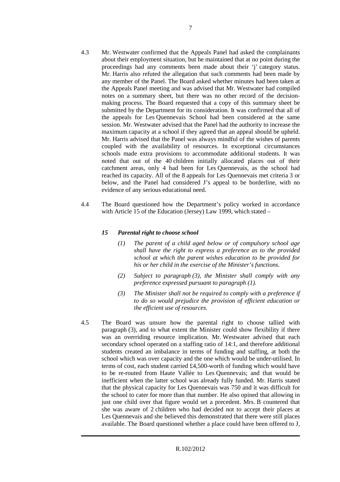- 4.3 Mr. Westwater confirmed that the Appeals Panel had asked the complainants about their employment situation, but he maintained that at no point during the proceedings had any comments been made about their 'j' category status. Mr. Harris also refuted the allegation that such comments had been made by any member of the Panel. The Board asked whether minutes had been taken at the Appeals Panel meeting and was advised that Mr. Westwater had compiled notes on a summary sheet, but there was no other record of the decisionmaking process. The Board requested that a copy of this summary sheet be submitted by the Department for its consideration. It was confirmed that all of the appeals for Les Quennevais School had been considered at the same session. Mr. Westwater advised that the Panel had the authority to increase the maximum capacity at a school if they agreed that an appeal should be upheld. Mr. Harris advised that the Panel was always mindful of the wishes of parents coupled with the availability of resources. In exceptional circumstances schools made extra provisions to accommodate additional students. It was noted that out of the 40 children initially allocated places out of their catchment areas, only 4 had been for Les Quennevais, as the school had reached its capacity. All of the 8 appeals for Les Quennevais met criteria 3 or below, and the Panel had considered J's appeal to be borderline, with no evidence of any serious educational need.
- 4.4 The Board questioned how the Department's policy worked in accordance with Article 15 of the Education (Jersey) Law 1999, which stated –

# *15 Parental right to choose school*

- *(1) The parent of a child aged below or of compulsory school age shall have the right to express a preference as to the provided school at which the parent wishes education to be provided for his or her child in the exercise of the Minister's functions.*
- *(2) Subject to paragraph (3), the Minister shall comply with any preference expressed pursuant to paragraph (1).*
- *(3) The Minister shall not be required to comply with a preference if to do so would prejudice the provision of efficient education or the efficient use of resources.*
- 4.5 The Board was unsure how the parental right to choose tallied with paragraph (3), and to what extent the Minister could show flexibility if there was an overriding resource implication. Mr. Westwater advised that each secondary school operated on a staffing ratio of 14:1, and therefore additional students created an imbalance in terms of funding and staffing, at both the school which was over capacity and the one which would be under-utilised. In terms of cost, each student carried £4,500-worth of funding which would have to be re-routed from Haute Vallée to Les Quennevais; and that would be inefficient when the latter school was already fully funded. Mr. Harris stated that the physical capacity for Les Quennevais was 750 and it was difficult for the school to cater for more than that number. He also opined that allowing in just one child over that figure would set a precedent. Mrs. B countered that she was aware of 2 children who had decided not to accept their places at Les Quennevais and she believed this demonstrated that there were still places available. The Board questioned whether a place could have been offered to J,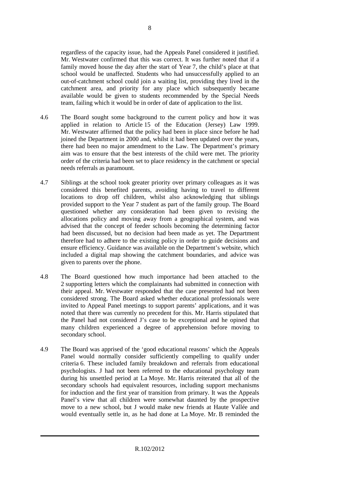regardless of the capacity issue, had the Appeals Panel considered it justified. Mr. Westwater confirmed that this was correct. It was further noted that if a family moved house the day after the start of Year 7, the child's place at that school would be unaffected. Students who had unsuccessfully applied to an out-of-catchment school could join a waiting list, providing they lived in the catchment area, and priority for any place which subsequently became available would be given to students recommended by the Special Needs team, failing which it would be in order of date of application to the list.

- 4.6 The Board sought some background to the current policy and how it was applied in relation to Article 15 of the Education (Jersey) Law 1999. Mr. Westwater affirmed that the policy had been in place since before he had joined the Department in 2000 and, whilst it had been updated over the years, there had been no major amendment to the Law. The Department's primary aim was to ensure that the best interests of the child were met. The priority order of the criteria had been set to place residency in the catchment or special needs referrals as paramount.
- 4.7 Siblings at the school took greater priority over primary colleagues as it was considered this benefited parents, avoiding having to travel to different locations to drop off children, whilst also acknowledging that siblings provided support to the Year 7 student as part of the family group. The Board questioned whether any consideration had been given to revising the allocations policy and moving away from a geographical system, and was advised that the concept of feeder schools becoming the determining factor had been discussed, but no decision had been made as yet. The Department therefore had to adhere to the existing policy in order to guide decisions and ensure efficiency. Guidance was available on the Department's website, which included a digital map showing the catchment boundaries, and advice was given to parents over the phone.
- 4.8 The Board questioned how much importance had been attached to the 2 supporting letters which the complainants had submitted in connection with their appeal. Mr. Westwater responded that the case presented had not been considered strong. The Board asked whether educational professionals were invited to Appeal Panel meetings to support parents' applications, and it was noted that there was currently no precedent for this. Mr. Harris stipulated that the Panel had not considered J's case to be exceptional and he opined that many children experienced a degree of apprehension before moving to secondary school.
- 4.9 The Board was apprised of the 'good educational reasons' which the Appeals Panel would normally consider sufficiently compelling to qualify under criteria 6. These included family breakdown and referrals from educational psychologists. J had not been referred to the educational psychology team during his unsettled period at La Moye. Mr. Harris reiterated that all of the secondary schools had equivalent resources, including support mechanisms for induction and the first year of transition from primary. It was the Appeals Panel's view that all children were somewhat daunted by the prospective move to a new school, but J would make new friends at Haute Vallée and would eventually settle in, as he had done at La Moye. Mr. B reminded the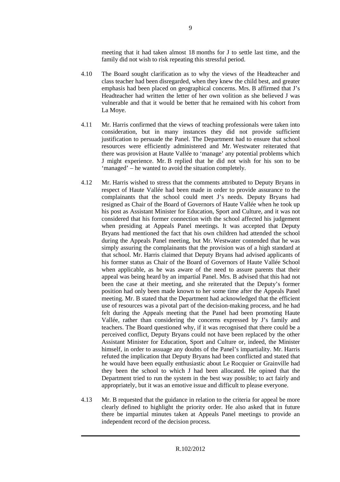meeting that it had taken almost 18 months for J to settle last time, and the family did not wish to risk repeating this stressful period.

- 4.10 The Board sought clarification as to why the views of the Headteacher and class teacher had been disregarded, when they knew the child best, and greater emphasis had been placed on geographical concerns. Mrs. B affirmed that J's Headteacher had written the letter of her own volition as she believed J was vulnerable and that it would be better that he remained with his cohort from La Moye.
- 4.11 Mr. Harris confirmed that the views of teaching professionals were taken into consideration, but in many instances they did not provide sufficient justification to persuade the Panel. The Department had to ensure that school resources were efficiently administered and Mr. Westwater reiterated that there was provision at Haute Vallée to 'manage' any potential problems which J might experience. Mr. B replied that he did not wish for his son to be 'managed' – he wanted to avoid the situation completely.
- 4.12 Mr. Harris wished to stress that the comments attributed to Deputy Bryans in respect of Haute Vallée had been made in order to provide assurance to the complainants that the school could meet J's needs. Deputy Bryans had resigned as Chair of the Board of Governors of Haute Vallée when he took up his post as Assistant Minister for Education, Sport and Culture, and it was not considered that his former connection with the school affected his judgement when presiding at Appeals Panel meetings. It was accepted that Deputy Bryans had mentioned the fact that his own children had attended the school during the Appeals Panel meeting, but Mr. Westwater contended that he was simply assuring the complainants that the provision was of a high standard at that school. Mr. Harris claimed that Deputy Bryans had advised applicants of his former status as Chair of the Board of Governors of Haute Vallée School when applicable, as he was aware of the need to assure parents that their appeal was being heard by an impartial Panel. Mrs. B advised that this had not been the case at their meeting, and she reiterated that the Deputy's former position had only been made known to her some time after the Appeals Panel meeting. Mr. B stated that the Department had acknowledged that the efficient use of resources was a pivotal part of the decision-making process, and he had felt during the Appeals meeting that the Panel had been promoting Haute Vallée, rather than considering the concerns expressed by J's family and teachers. The Board questioned why, if it was recognised that there could be a perceived conflict, Deputy Bryans could not have been replaced by the other Assistant Minister for Education, Sport and Culture or, indeed, the Minister himself, in order to assuage any doubts of the Panel's impartiality. Mr. Harris refuted the implication that Deputy Bryans had been conflicted and stated that he would have been equally enthusiastic about Le Rocquier or Grainville had they been the school to which J had been allocated. He opined that the Department tried to run the system in the best way possible; to act fairly and appropriately, but it was an emotive issue and difficult to please everyone.
- 4.13 Mr. B requested that the guidance in relation to the criteria for appeal be more clearly defined to highlight the priority order. He also asked that in future there be impartial minutes taken at Appeals Panel meetings to provide an independent record of the decision process.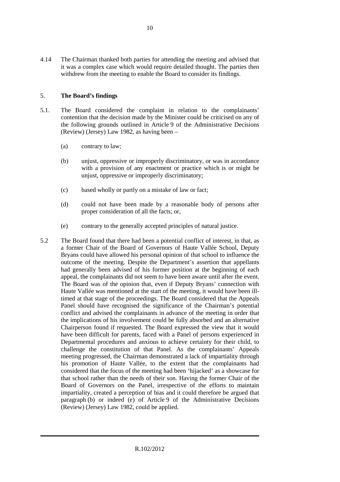4.14 The Chairman thanked both parties for attending the meeting and advised that it was a complex case which would require detailed thought. The parties then withdrew from the meeting to enable the Board to consider its findings.

# 5. **The Board's findings**

- 5.1. The Board considered the complaint in relation to the complainants' contention that the decision made by the Minister could be criticised on any of the following grounds outlined in Article 9 of the Administrative Decisions (Review) (Jersey) Law 1982, as having been –
	- (a) contrary to law;
	- (b) unjust, oppressive or improperly discriminatory, or was in accordance with a provision of any enactment or practice which is or might be unjust, oppressive or improperly discriminatory;
	- (c) based wholly or partly on a mistake of law or fact;
	- (d) could not have been made by a reasonable body of persons after proper consideration of all the facts; or,
	- (e) contrary to the generally accepted principles of natural justice.
- 5.2 The Board found that there had been a potential conflict of interest, in that, as a former Chair of the Board of Governors of Haute Vallée School, Deputy Bryans could have allowed his personal opinion of that school to influence the outcome of the meeting. Despite the Department's assertion that appellants had generally been advised of his former position at the beginning of each appeal, the complainants did not seem to have been aware until after the event. The Board was of the opinion that, even if Deputy Bryans' connection with Haute Vallée was mentioned at the start of the meeting, it would have been illtimed at that stage of the proceedings. The Board considered that the Appeals Panel should have recognised the significance of the Chairman's potential conflict and advised the complainants in advance of the meeting in order that the implications of his involvement could be fully absorbed and an alternative Chairperson found if requested. The Board expressed the view that it would have been difficult for parents, faced with a Panel of persons experienced in Departmental procedures and anxious to achieve certainty for their child, to challenge the constitution of that Panel. As the complainants' Appeals meeting progressed, the Chairman demonstrated a lack of impartiality through his promotion of Haute Vallée, to the extent that the complainants had considered that the focus of the meeting had been 'hijacked' as a showcase for that school rather than the needs of their son. Having the former Chair of the Board of Governors on the Panel, irrespective of the efforts to maintain impartiality, created a perception of bias and it could therefore be argued that paragraph (b) or indeed (e) of Article 9 of the Administrative Decisions (Review) (Jersey) Law 1982, could be applied.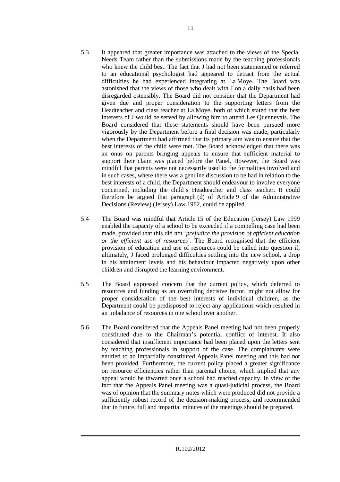- 5.3 It appeared that greater importance was attached to the views of the Special Needs Team rather than the submissions made by the teaching professionals who knew the child best. The fact that J had not been statemented or referred to an educational psychologist had appeared to detract from the actual difficulties he had experienced integrating at La Moye. The Board was astonished that the views of those who dealt with J on a daily basis had been disregarded ostensibly. The Board did not consider that the Department had given due and proper consideration to the supporting letters from the Headteacher and class teacher at La Moye, both of which stated that the best interests of J would be served by allowing him to attend Les Quennevais. The Board considered that these statements should have been pursued more vigorously by the Department before a final decision was made, particularly when the Department had affirmed that its primary aim was to ensure that the best interests of the child were met. The Board acknowledged that there was an onus on parents bringing appeals to ensure that sufficient material to support their claim was placed before the Panel. However, the Board was mindful that parents were not necessarily used to the formalities involved and in such cases, where there was a genuine discussion to be had in relation to the best interests of a child, the Department should endeavour to involve everyone concerned, including the child's Headteacher and class teacher. It could therefore be argued that paragraph (d) of Article 9 of the Administrative Decisions (Review) (Jersey) Law 1982, could be applied.
- 5.4 The Board was mindful that Article 15 of the Education (Jersey) Law 1999 enabled the capacity of a school to be exceeded if a compelling case had been made, provided that this did not '*prejudice the provision of efficient education or the efficient use of resources*'. The Board recognised that the efficient provision of education and use of resources could be called into question if, ultimately, J faced prolonged difficulties settling into the new school, a drop in his attainment levels and his behaviour impacted negatively upon other children and disrupted the learning environment.
- 5.5 The Board expressed concern that the current policy, which deferred to resources and funding as an overriding decisive factor, might not allow for proper consideration of the best interests of individual children, as the Department could be predisposed to reject any applications which resulted in an imbalance of resources in one school over another.
- 5.6 The Board considered that the Appeals Panel meeting had not been properly constituted due to the Chairman's potential conflict of interest. It also considered that insufficient importance had been placed upon the letters sent by teaching professionals in support of the case. The complainants were entitled to an impartially constituted Appeals Panel meeting and this had not been provided. Furthermore, the current policy placed a greater significance on resource efficiencies rather than parental choice, which implied that any appeal would be thwarted once a school had reached capacity. In view of the fact that the Appeals Panel meeting was a quasi-judicial process, the Board was of opinion that the summary notes which were produced did not provide a sufficiently robust record of the decision-making process, and recommended that in future, full and impartial minutes of the meetings should be prepared.